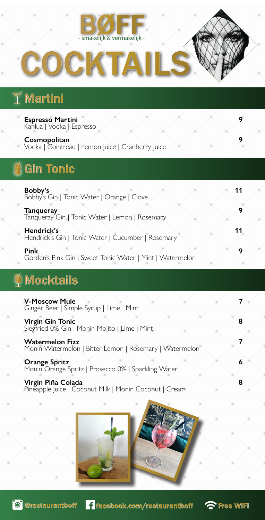

# COCKTAILS

# Martini

| <b>Espresso Martini</b><br>Kahlua   Vodka   Espresso                                                                        | 9 |
|-----------------------------------------------------------------------------------------------------------------------------|---|
| Cosmopolitan<br>Vodka   Cointreau   Lemon Juice   Cranberry Juice                                                           | 9 |
| <b>Gin Tonic</b>                                                                                                            |   |
| Bobby's<br>Bobby's Gin   Tonic Water   Orange   Clove<br><b>Tanqueray</b><br>Tanqueray Gin   Tonic Water   Lemon   Rosemary | 9 |
| Hendrick's<br>Hendrick's Gin   Tonic Water   Cucumber   Rosemary                                                            |   |
| <b>Pink</b><br>Gorden's Pink Gin   Sweet Tonic Water   Mint   Watermelon                                                    | 9 |

# $\not\!\!\!\! \Phi$  Mocktails

| <b>V-Moscow Mule</b><br>Ginger Beer   Simple Syrup   Lime   Mint                  |  |
|-----------------------------------------------------------------------------------|--|
| <b>Virgin Gin Tonic</b><br>Siegfried 0% Gin   Monin Mojito   Lime   Mint          |  |
| <b>Watermelon Fizz</b><br>Monin Watermelon   Bitter Lemon   Rosemary   Watermelon |  |
| <b>Orange Spritz</b><br>Monin Orange Spritz   Prosecco 0%   Sparkling Water       |  |
| Virgin Piña Colada<br>Pineapple Juice   Coconut Milk   Monin Coconut   Cream      |  |